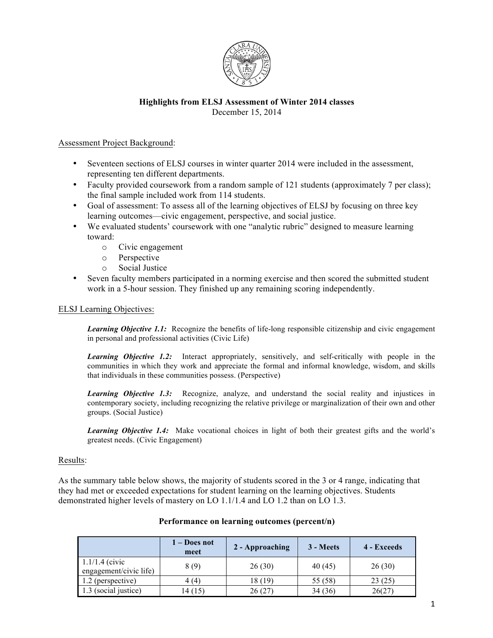

# **Highlights from ELSJ Assessment of Winter 2014 classes** December 15, 2014

## Assessment Project Background:

- Seventeen sections of ELSJ courses in winter quarter 2014 were included in the assessment, representing ten different departments.
- Faculty provided coursework from a random sample of 121 students (approximately 7 per class); the final sample included work from 114 students.
- Goal of assessment: To assess all of the learning objectives of ELSJ by focusing on three key learning outcomes—civic engagement, perspective, and social justice.
- We evaluated students' coursework with one "analytic rubric" designed to measure learning toward:
	- o Civic engagement
	- o Perspective
	- o Social Justice
- Seven faculty members participated in a norming exercise and then scored the submitted student work in a 5-hour session. They finished up any remaining scoring independently.

## ELSJ Learning Objectives:

*Learning Objective 1.1:* Recognize the benefits of life-long responsible citizenship and civic engagement in personal and professional activities (Civic Life)

*Learning Objective 1.2:* Interact appropriately, sensitively, and self-critically with people in the communities in which they work and appreciate the formal and informal knowledge, wisdom, and skills that individuals in these communities possess. (Perspective)

**Learning Objective 1.3:** Recognize, analyze, and understand the social reality and injustices in contemporary society, including recognizing the relative privilege or marginalization of their own and other groups. (Social Justice)

*Learning Objective 1.4:* Make vocational choices in light of both their greatest gifts and the world's greatest needs. (Civic Engagement)

## Results:

As the summary table below shows, the majority of students scored in the 3 or 4 range, indicating that they had met or exceeded expectations for student learning on the learning objectives. Students demonstrated higher levels of mastery on LO 1.1/1.4 and LO 1.2 than on LO 1.3.

|                                            | 1 – Does not<br>meet | 2 - Approaching | 3 - Meets | 4 - Exceeds |
|--------------------------------------------|----------------------|-----------------|-----------|-------------|
| $1.1/1.4$ (civic<br>engagement/civic life) | 8(9)                 | 26(30)          | 40 (45)   | 26(30)      |
| 1.2 (perspective)                          | 4(4)                 | 18 (19)         | 55 (58)   | 23(25)      |
| 1.3 (social justice)                       | 14 (15)              | 26(27)          | 34(36)    | 26(27)      |

## **Performance on learning outcomes (percent/n)**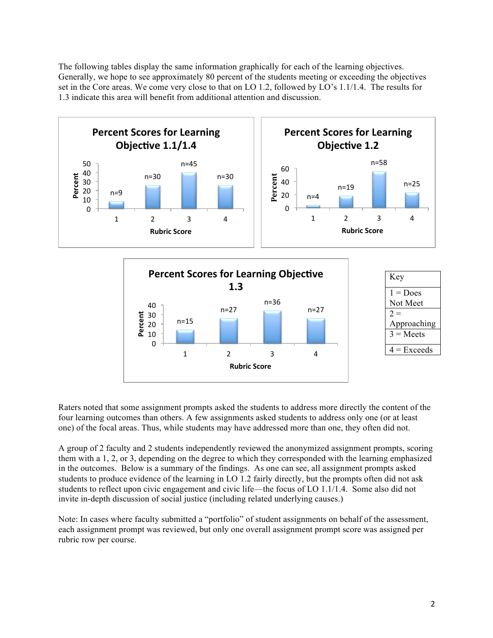The following tables display the same information graphically for each of the learning objectives. Generally, we hope to see approximately 80 percent of the students meeting or exceeding the objectives set in the Core areas. We come very close to that on LO 1.2, followed by LO's 1.1/1.4. The results for 1.3 indicate this area will benefit from additional attention and discussion.



Raters noted that some assignment prompts asked the students to address more directly the content of the four learning outcomes than others. A few assignments asked students to address only one (or at least one) of the focal areas. Thus, while students may have addressed more than one, they often did not.

A group of 2 faculty and 2 students independently reviewed the anonymized assignment prompts, scoring them with a 1, 2, or 3, depending on the degree to which they corresponded with the learning emphasized in the outcomes. Below is a summary of the findings. As one can see, all assignment prompts asked students to produce evidence of the learning in LO 1.2 fairly directly, but the prompts often did not ask students to reflect upon civic engagement and civic life—the focus of LO 1.1/1.4. Some also did not invite in-depth discussion of social justice (including related underlying causes.)

Note: In cases where faculty submitted a "portfolio" of student assignments on behalf of the assessment, each assignment prompt was reviewed, but only one overall assignment prompt score was assigned per rubric row per course.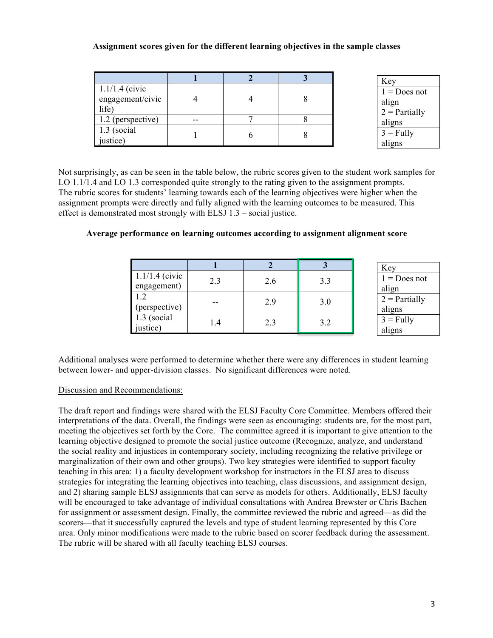# **Assignment scores given for the different learning objectives in the sample classes**

|                                               |  | Key                                        |
|-----------------------------------------------|--|--------------------------------------------|
| $1.1/1.4$ (civic<br>engagement/civic<br>life) |  | $1 = Does not$<br>align<br>$2$ = Partially |
| 1.2 (perspective)                             |  | aligns                                     |
| $1.3$ (social<br>justice)                     |  | $3 =$ Fully<br>aligns                      |

Not surprisingly, as can be seen in the table below, the rubric scores given to the student work samples for LO 1.1/1.4 and LO 1.3 corresponded quite strongly to the rating given to the assignment prompts. The rubric scores for students' learning towards each of the learning objectives were higher when the assignment prompts were directly and fully aligned with the learning outcomes to be measured. This effect is demonstrated most strongly with ELSJ 1.3 – social justice.

|                                 |     |     |     | Key                       |
|---------------------------------|-----|-----|-----|---------------------------|
| $1.1/1.4$ (civic<br>engagement) | 2.3 | 2.6 | 3.3 | $1 = Does not$<br>align   |
| 1.2<br>(perspective)            |     | 2.9 | 3.0 | $2$ = Partially<br>aligns |
| 1.3 (social<br>justice)         | l.4 | 2.3 | 3.2 | $3 =$ Fully<br>aligns     |

## **Average performance on learning outcomes according to assignment alignment score**

Additional analyses were performed to determine whether there were any differences in student learning between lower- and upper-division classes. No significant differences were noted.

## Discussion and Recommendations:

The draft report and findings were shared with the ELSJ Faculty Core Committee. Members offered their interpretations of the data. Overall, the findings were seen as encouraging: students are, for the most part, meeting the objectives set forth by the Core. The committee agreed it is important to give attention to the learning objective designed to promote the social justice outcome (Recognize, analyze, and understand the social reality and injustices in contemporary society, including recognizing the relative privilege or marginalization of their own and other groups). Two key strategies were identified to support faculty teaching in this area: 1) a faculty development workshop for instructors in the ELSJ area to discuss strategies for integrating the learning objectives into teaching, class discussions, and assignment design, and 2) sharing sample ELSJ assignments that can serve as models for others. Additionally, ELSJ faculty will be encouraged to take advantage of individual consultations with Andrea Brewster or Chris Bachen for assignment or assessment design. Finally, the committee reviewed the rubric and agreed—as did the scorers—that it successfully captured the levels and type of student learning represented by this Core area. Only minor modifications were made to the rubric based on scorer feedback during the assessment. The rubric will be shared with all faculty teaching ELSJ courses.